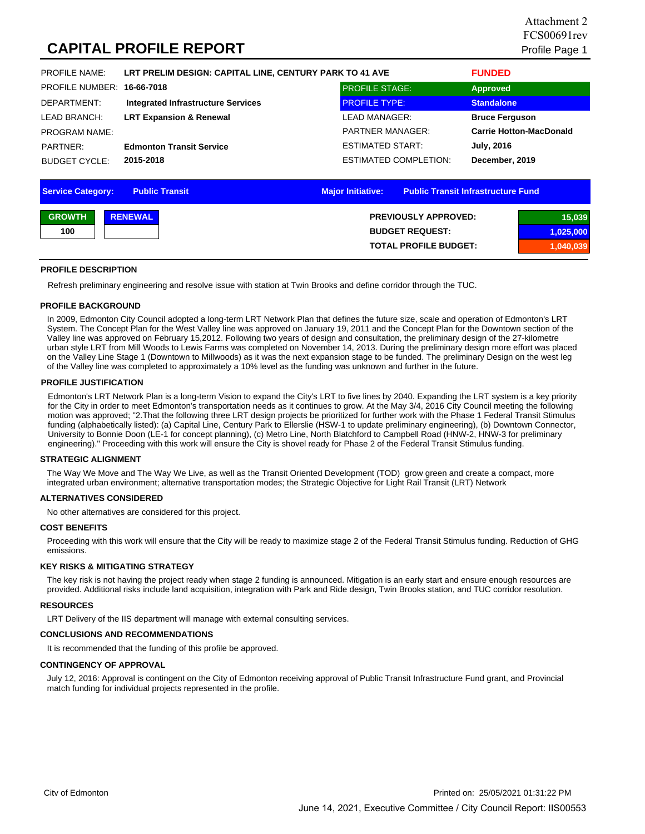# **CAPITAL PROFILE REPORT** Profile Page 1

| <b>PROFILE NAME:</b>       | LRT PRELIM DESIGN: CAPITAL LINE, CENTURY PARK TO 41 AVE | <b>FUNDED</b>                |                                |  |  |  |
|----------------------------|---------------------------------------------------------|------------------------------|--------------------------------|--|--|--|
| PROFILE NUMBER: 16-66-7018 |                                                         | <b>PROFILE STAGE:</b>        | <b>Approved</b>                |  |  |  |
| DEPARTMENT:                | <b>Integrated Infrastructure Services</b>               | <b>PROFILE TYPE:</b>         | <b>Standalone</b>              |  |  |  |
| LEAD BRANCH:               | <b>LRT Expansion &amp; Renewal</b>                      | LEAD MANAGER:                | <b>Bruce Ferguson</b>          |  |  |  |
| <b>PROGRAM NAME:</b>       |                                                         | <b>PARTNER MANAGER:</b>      | <b>Carrie Hotton-MacDonald</b> |  |  |  |
| PARTNER:                   | <b>Edmonton Transit Service</b>                         | ESTIMATED START:             | <b>July, 2016</b>              |  |  |  |
| <b>BUDGET CYCLE:</b>       | 2015-2018                                               | <b>ESTIMATED COMPLETION:</b> | December, 2019                 |  |  |  |

| <b>Service Category:</b> | <b>Public Transit</b> | <b>Major Initiative:</b> | <b>Public Transit Infrastructure Fund</b> |  |
|--------------------------|-----------------------|--------------------------|-------------------------------------------|--|
| <b>GROWTH</b>            | <b>RENEWAL</b>        |                          | <b>PREVIOUSLY APPROVED:</b><br>15,039     |  |
| 100                      |                       |                          | <b>BUDGET REQUEST:</b><br>1,025,000       |  |
|                          |                       |                          | <b>TOTAL PROFILE BUDGET:</b><br>1,040,039 |  |

#### **PROFILE DESCRIPTION**

Refresh preliminary engineering and resolve issue with station at Twin Brooks and define corridor through the TUC.

#### **PROFILE BACKGROUND**

In 2009, Edmonton City Council adopted a long-term LRT Network Plan that defines the future size, scale and operation of Edmonton's LRT System. The Concept Plan for the West Valley line was approved on January 19, 2011 and the Concept Plan for the Downtown section of the Valley line was approved on February 15,2012. Following two years of design and consultation, the preliminary design of the 27-kilometre urban style LRT from Mill Woods to Lewis Farms was completed on November 14, 2013. During the preliminary design more effort was placed on the Valley Line Stage 1 (Downtown to Millwoods) as it was the next expansion stage to be funded. The preliminary Design on the west leg of the Valley line was completed to approximately a 10% level as the funding was unknown and further in the future.

#### **PROFILE JUSTIFICATION**

Edmonton's LRT Network Plan is a long-term Vision to expand the City's LRT to five lines by 2040. Expanding the LRT system is a key priority for the City in order to meet Edmonton's transportation needs as it continues to grow. At the May 3/4, 2016 City Council meeting the following motion was approved; "2.That the following three LRT design projects be prioritized for further work with the Phase 1 Federal Transit Stimulus funding (alphabetically listed): (a) Capital Line, Century Park to Ellerslie (HSW-1 to update preliminary engineering), (b) Downtown Connector, University to Bonnie Doon (LE-1 for concept planning), (c) Metro Line, North Blatchford to Campbell Road (HNW-2, HNW-3 for preliminary engineering)." Proceeding with this work will ensure the City is shovel ready for Phase 2 of the Federal Transit Stimulus funding.

#### **STRATEGIC ALIGNMENT**

The Way We Move and The Way We Live, as well as the Transit Oriented Development (TOD) grow green and create a compact, more integrated urban environment; alternative transportation modes; the Strategic Objective for Light Rail Transit (LRT) Network

#### **ALTERNATIVES CONSIDERED**

No other alternatives are considered for this project.

#### **COST BENEFITS**

Proceeding with this work will ensure that the City will be ready to maximize stage 2 of the Federal Transit Stimulus funding. Reduction of GHG emissions.

#### **KEY RISKS & MITIGATING STRATEGY**

The key risk is not having the project ready when stage 2 funding is announced. Mitigation is an early start and ensure enough resources are provided. Additional risks include land acquisition, integration with Park and Ride design, Twin Brooks station, and TUC corridor resolution.

#### **RESOURCES**

LRT Delivery of the IIS department will manage with external consulting services.

#### **CONCLUSIONS AND RECOMMENDATIONS**

It is recommended that the funding of this profile be approved.

### **CONTINGENCY OF APPROVAL**

July 12, 2016: Approval is contingent on the City of Edmonton receiving approval of Public Transit Infrastructure Fund grant, and Provincial match funding for individual projects represented in the profile.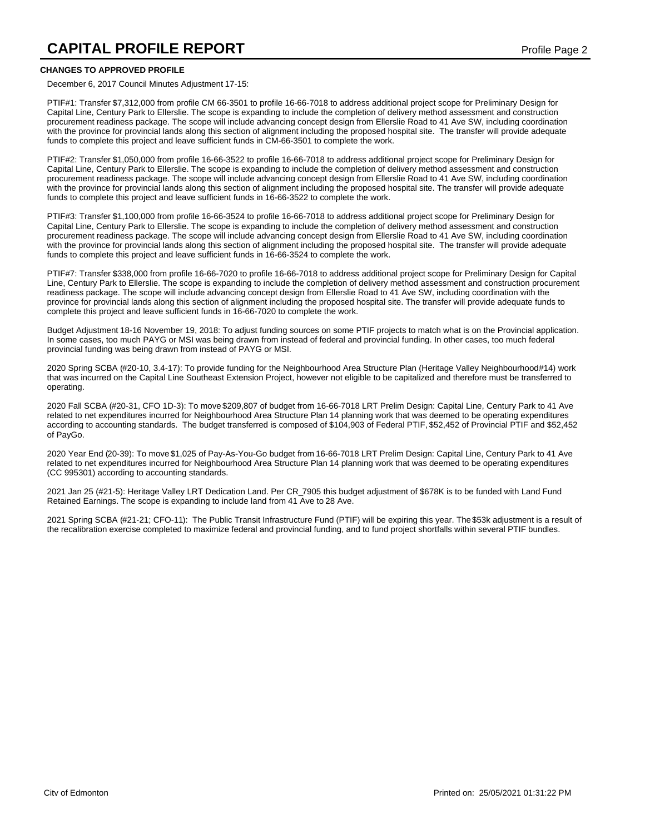# **CAPITAL PROFILE REPORT CAPITAL PROFILE REPORT**

### **CHANGES TO APPROVED PROFILE**

December 6, 2017 Council Minutes Adjustment 17-15:

PTIF#1: Transfer \$7,312,000 from profile CM 66-3501 to profile 16-66-7018 to address additional project scope for Preliminary Design for Capital Line, Century Park to Ellerslie. The scope is expanding to include the completion of delivery method assessment and construction procurement readiness package. The scope will include advancing concept design from Ellerslie Road to 41 Ave SW, including coordination with the province for provincial lands along this section of alignment including the proposed hospital site. The transfer will provide adequate funds to complete this project and leave sufficient funds in CM-66-3501 to complete the work.

PTIF#2: Transfer \$1,050,000 from profile 16-66-3522 to profile 16-66-7018 to address additional project scope for Preliminary Design for Capital Line, Century Park to Ellerslie. The scope is expanding to include the completion of delivery method assessment and construction procurement readiness package. The scope will include advancing concept design from Ellerslie Road to 41 Ave SW, including coordination with the province for provincial lands along this section of alignment including the proposed hospital site. The transfer will provide adequate funds to complete this project and leave sufficient funds in 16-66-3522 to complete the work.

PTIF#3: Transfer \$1,100,000 from profile 16-66-3524 to profile 16-66-7018 to address additional project scope for Preliminary Design for Capital Line, Century Park to Ellerslie. The scope is expanding to include the completion of delivery method assessment and construction procurement readiness package. The scope will include advancing concept design from Ellerslie Road to 41 Ave SW, including coordination with the province for provincial lands along this section of alignment including the proposed hospital site. The transfer will provide adequate funds to complete this project and leave sufficient funds in 16-66-3524 to complete the work.

PTIF#7: Transfer \$338,000 from profile 16-66-7020 to profile 16-66-7018 to address additional project scope for Preliminary Design for Capital Line, Century Park to Ellerslie. The scope is expanding to include the completion of delivery method assessment and construction procurement readiness package. The scope will include advancing concept design from Ellerslie Road to 41 Ave SW, including coordination with the province for provincial lands along this section of alignment including the proposed hospital site. The transfer will provide adequate funds to complete this project and leave sufficient funds in 16-66-7020 to complete the work.

Budget Adjustment 18-16 November 19, 2018: To adjust funding sources on some PTIF projects to match what is on the Provincial application. In some cases, too much PAYG or MSI was being drawn from instead of federal and provincial funding. In other cases, too much federal provincial funding was being drawn from instead of PAYG or MSI.

2020 Spring SCBA (#20-10, 3.4-17): To provide funding for the Neighbourhood Area Structure Plan (Heritage Valley Neighbourhood#14) work that was incurred on the Capital Line Southeast Extension Project, however not eligible to be capitalized and therefore must be transferred to operating.

2020 Fall SCBA (#20-31, CFO 1D-3): To move \$209,807 of budget from 16-66-7018 LRT Prelim Design: Capital Line, Century Park to 41 Ave related to net expenditures incurred for Neighbourhood Area Structure Plan 14 planning work that was deemed to be operating expenditures according to accounting standards. The budget transferred is composed of \$104,903 of Federal PTIF, \$52,452 of Provincial PTIF and \$52,452 of PayGo.

2020 Year End (20-39): To move \$1,025 of Pay-As-You-Go budget from 16-66-7018 LRT Prelim Design: Capital Line, Century Park to 41 Ave related to net expenditures incurred for Neighbourhood Area Structure Plan 14 planning work that was deemed to be operating expenditures (CC 995301) according to accounting standards.

2021 Jan 25 (#21-5): Heritage Valley LRT Dedication Land. Per CR\_7905 this budget adjustment of \$678K is to be funded with Land Fund Retained Earnings. The scope is expanding to include land from 41 Ave to 28 Ave.

2021 Spring SCBA (#21-21; CFO-11): The Public Transit Infrastructure Fund (PTIF) will be expiring this year. The \$53k adjustment is a result of the recalibration exercise completed to maximize federal and provincial funding, and to fund project shortfalls within several PTIF bundles.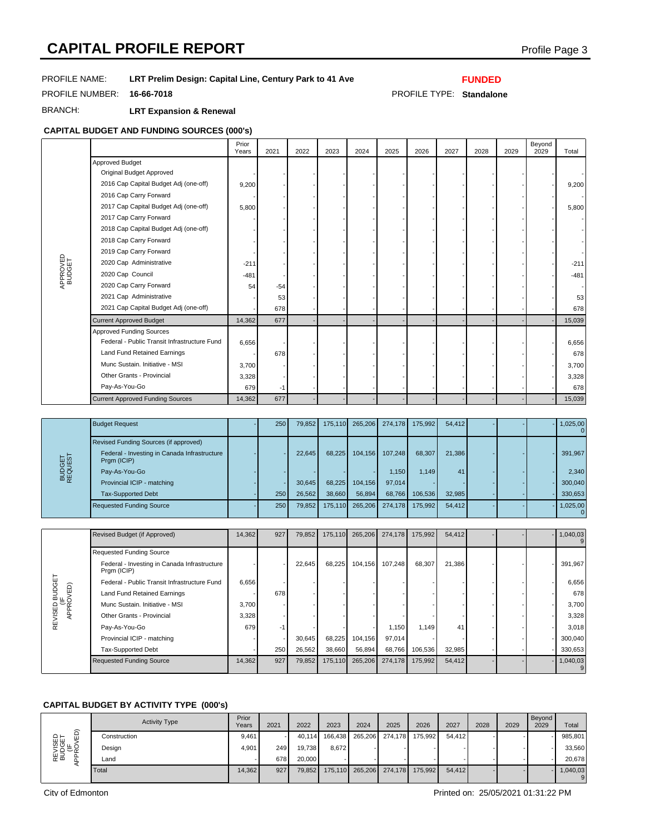# **CAPITAL PROFILE REPORT CAPITAL PROFILE REPORT**

## PROFILE NAME: **LRT Prelim Design: Capital Line, Century Park to 41 Ave**

## **FUNDED**

PROFILE NUMBER: **16-66-7018** PROFILE TYPE: **Standalone**

BRANCH: **LRT Expansion & Renewal**

# **CAPITAL BUDGET AND FUNDING SOURCES (000's)**

|                    |                                              | Prior<br>Years | 2021  | 2022 | 2023 | 2024 | 2025 | 2026 | 2027 | 2028 | 2029 | Beyond<br>2029 | Total  |
|--------------------|----------------------------------------------|----------------|-------|------|------|------|------|------|------|------|------|----------------|--------|
|                    | <b>Approved Budget</b>                       |                |       |      |      |      |      |      |      |      |      |                |        |
|                    | Original Budget Approved                     |                |       |      |      |      |      |      |      |      |      |                |        |
|                    | 2016 Cap Capital Budget Adj (one-off)        | 9,200          |       |      |      |      |      |      |      |      |      |                | 9,200  |
|                    | 2016 Cap Carry Forward                       |                |       |      |      |      |      |      |      |      |      |                |        |
|                    | 2017 Cap Capital Budget Adj (one-off)        | 5,800          |       |      |      |      |      |      |      |      |      |                | 5,800  |
|                    | 2017 Cap Carry Forward                       |                |       |      |      |      |      |      |      |      |      |                |        |
|                    | 2018 Cap Capital Budget Adj (one-off)        |                |       |      |      |      |      |      |      |      |      |                |        |
| APPROVED<br>BUDGET | 2018 Cap Carry Forward                       |                |       |      |      |      |      |      |      |      |      |                |        |
|                    | 2019 Cap Carry Forward                       |                |       |      |      |      |      |      |      |      |      |                |        |
|                    | 2020 Cap Administrative                      | $-211$         |       |      |      |      |      |      |      |      |      |                | $-211$ |
|                    | 2020 Cap Council                             | $-481$         |       |      |      |      |      |      |      |      |      |                | $-481$ |
|                    | 2020 Cap Carry Forward                       | 54             | $-54$ |      |      |      |      |      |      |      |      |                |        |
|                    | 2021 Cap Administrative                      |                | 53    |      |      |      |      |      |      |      |      |                | 53     |
|                    | 2021 Cap Capital Budget Adj (one-off)        |                | 678   |      |      |      |      |      |      |      |      |                | 678    |
|                    | <b>Current Approved Budget</b>               | 14,362         | 677   |      |      |      |      |      |      |      |      |                | 15,039 |
|                    | <b>Approved Funding Sources</b>              |                |       |      |      |      |      |      |      |      |      |                |        |
|                    | Federal - Public Transit Infrastructure Fund | 6,656          |       |      |      |      |      |      |      |      |      |                | 6,656  |
|                    | Land Fund Retained Earnings                  |                | 678   |      |      |      |      |      |      |      |      |                | 678    |
|                    | Munc Sustain. Initiative - MSI               | 3,700          |       |      |      |      |      |      |      |      |      |                | 3,700  |
|                    | Other Grants - Provincial                    | 3,328          |       |      |      |      |      |      |      |      |      |                | 3,328  |
|                    | Pay-As-You-Go                                | 679            | $-1$  |      |      |      |      |      |      |      |      |                | 678    |
|                    | <b>Current Approved Funding Sources</b>      | 14,362         | 677   |      |      |      |      |      |      |      |      |                | 15,039 |

| BUDGET<br>REQUEST | <b>Budget Request</b>                                                                                | 250 | 79,852 | 175,110 | 265,206 | 274,178 | 175,992 | 54.412 |  | 1,025,00 |
|-------------------|------------------------------------------------------------------------------------------------------|-----|--------|---------|---------|---------|---------|--------|--|----------|
|                   | Revised Funding Sources (if approved)<br>Federal - Investing in Canada Infrastructure<br>Prgm (ICIP) |     | 22.645 | 68.225  | 104,156 | 107.248 | 68,307  | 21,386 |  | 391,967  |
|                   | Pay-As-You-Go                                                                                        |     |        |         |         | 1.150   | 1.149   | 41     |  | 2.340    |
|                   | Provincial ICIP - matching                                                                           |     | 30.645 | 68.225  | 104.156 | 97.014  |         |        |  | 300,040  |
|                   | <b>Tax-Supported Debt</b>                                                                            | 250 | 26,562 | 38,660  | 56,894  | 68,766  | 106,536 | 32,985 |  | 330,653  |
|                   | <b>Requested Funding Source</b>                                                                      | 250 | 79,852 | 175.110 | 265,206 | 274.178 | 175,992 | 54.412 |  | 1,025,00 |

|                                  | Revised Budget (if Approved)                                | 14,362 | 927 | 79,852 | 175,110 | 265,206 | 274.178 | 175,992 | 54,412 |  | 1,040,03 |
|----------------------------------|-------------------------------------------------------------|--------|-----|--------|---------|---------|---------|---------|--------|--|----------|
|                                  | <b>Requested Funding Source</b>                             |        |     |        |         |         |         |         |        |  |          |
| VISED BUDGET<br>(IF<br>APPROVED) | Federal - Investing in Canada Infrastructure<br>Prgm (ICIP) |        |     | 22,645 | 68,225  | 104,156 | 107.248 | 68,307  | 21,386 |  | 391,967  |
|                                  | Federal - Public Transit Infrastructure Fund                | 6,656  |     |        |         |         |         |         |        |  | 6,656    |
|                                  | Land Fund Retained Earnings                                 |        | 678 |        |         |         |         |         |        |  | 678      |
|                                  | Munc Sustain, Initiative - MSI                              | 3.700  |     |        |         |         |         |         |        |  | 3,700    |
| REVISED                          | Other Grants - Provincial                                   | 3,328  |     |        |         |         |         |         |        |  | 3,328    |
|                                  | Pay-As-You-Go                                               | 679    | -1  |        |         |         | 1,150   | 1.149   | 41     |  | 3.018    |
|                                  | Provincial ICIP - matching                                  |        |     | 30,645 | 68,225  | 104,156 | 97,014  |         |        |  | 300,040  |
|                                  | <b>Tax-Supported Debt</b>                                   |        | 250 | 26,562 | 38,660  | 56,894  | 68,766  | 106,536 | 32,985 |  | 330,653  |
|                                  | <b>Requested Funding Source</b>                             | 14,362 | 927 | 79,852 | 175,110 | 265,206 | 274,178 | 175,992 | 54,412 |  | 1,040,03 |

## **CAPITAL BUDGET BY ACTIVITY TYPE (000's)**

| $\widehat{\Omega}$<br>REVISED<br>BUDGET<br>(IF<br>PPROVED | <b>Activity Type</b> | Prior<br>Years | 2021 | 2022   | 2023    | 2024 | 2025            | 2026                    | 2027   | 2028 | 2029 | Beyond<br>2029 | Total    |
|-----------------------------------------------------------|----------------------|----------------|------|--------|---------|------|-----------------|-------------------------|--------|------|------|----------------|----------|
|                                                           | Construction         | 9.461          |      | 40.114 | 166,438 |      |                 | 265,206 274,178 175,992 | 54,412 |      |      |                | 985,801  |
|                                                           | Design               | 4.901          | 249  | 19,738 | 8,672   |      |                 |                         |        |      |      |                | 33,560   |
|                                                           | ∟and                 |                | 678  | 20,000 |         |      |                 |                         |        |      |      |                | 20.678   |
|                                                           | Total                | 14.362         | 927  | 79,852 | 175,110 |      | 265,206 274,178 | 175,992                 | 54,412 |      |      |                | 1,040,03 |